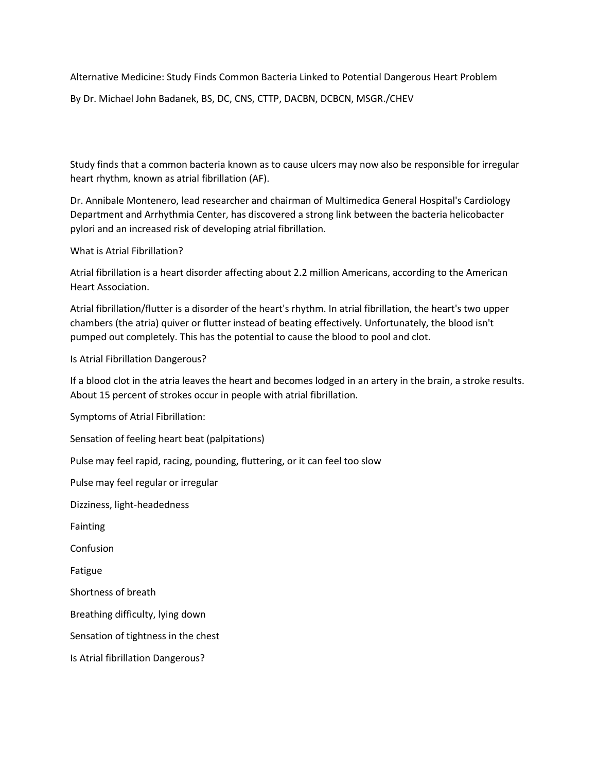Alternative Medicine: Study Finds Common Bacteria Linked to Potential Dangerous Heart Problem

By Dr. Michael John Badanek, BS, DC, CNS, CTTP, DACBN, DCBCN, MSGR./CHEV

Study finds that a common bacteria known as to cause ulcers may now also be responsible for irregular heart rhythm, known as atrial fibrillation (AF).

Dr. Annibale Montenero, lead researcher and chairman of Multimedica General Hospital's Cardiology Department and Arrhythmia Center, has discovered a strong link between the bacteria helicobacter pylori and an increased risk of developing atrial fibrillation.

What is Atrial Fibrillation?

Atrial fibrillation is a heart disorder affecting about 2.2 million Americans, according to the American Heart Association.

Atrial fibrillation/flutter is a disorder of the heart's rhythm. In atrial fibrillation, the heart's two upper chambers (the atria) quiver or flutter instead of beating effectively. Unfortunately, the blood isn't pumped out completely. This has the potential to cause the blood to pool and clot.

Is Atrial Fibrillation Dangerous?

If a blood clot in the atria leaves the heart and becomes lodged in an artery in the brain, a stroke results. About 15 percent of strokes occur in people with atrial fibrillation.

Symptoms of Atrial Fibrillation:

Sensation of feeling heart beat (palpitations)

Pulse may feel rapid, racing, pounding, fluttering, or it can feel too slow

Pulse may feel regular or irregular

Dizziness, light-headedness

Fainting

Confusion

Fatigue

Shortness of breath

Breathing difficulty, lying down

Sensation of tightness in the chest

Is Atrial fibrillation Dangerous?